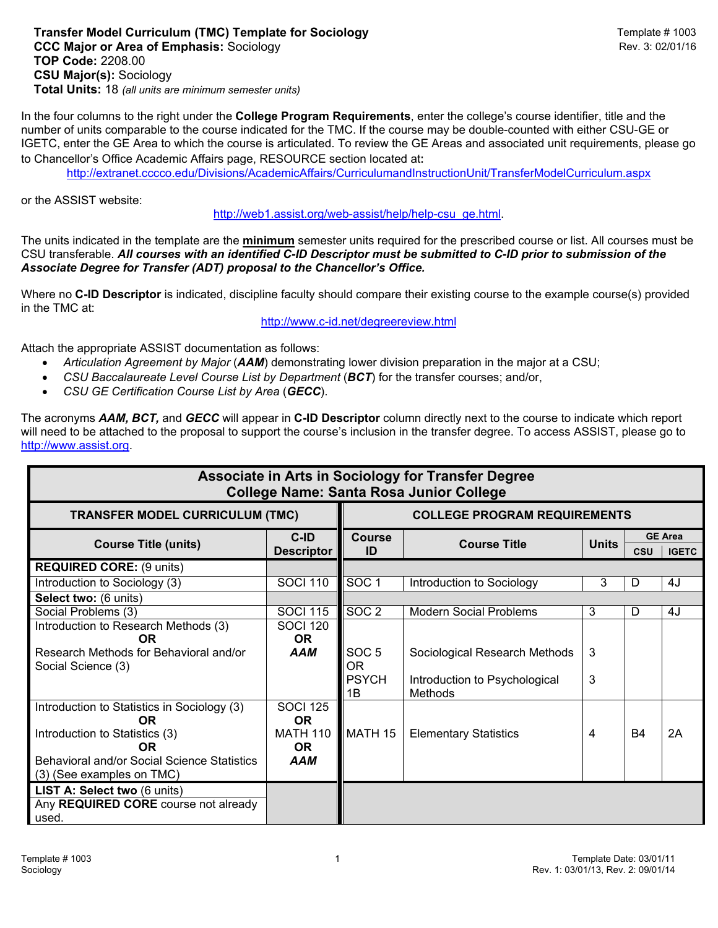## **Transfer Model Curriculum (TMC) Template for Sociology <b>Transfer Model Curriculum (TMC)** Template # 1003 **CCC Major or Area of Emphasis:** Sociology **Rev. 3: 02/01/16** Rev. 3: 02/01/16 **TOP Code:** 2208.00 **CSU Major(s):** Sociology **Total Units:** 18 *(all units are minimum semester units)*

In the four columns to the right under the **College Program Requirements**, enter the college's course identifier, title and the number of units comparable to the course indicated for the TMC. If the course may be double-counted with either CSU-GE or IGETC, enter the GE Area to which the course is articulated. To review the GE Areas and associated unit requirements, please go to Chancellor's Office Academic Affairs page, RESOURCE section located at:

<http://extranet.cccco.edu/Divisions/AcademicAffairs/CurriculumandInstructionUnit/TransferModelCurriculum.aspx>

or the ASSIST website:

[http://web1.assist.org/web-assist/help/help-csu\\_ge.html.](http://web1.assist.org/web-assist/help/help-csu_ge.html)

The units indicated in the template are the **minimum** semester units required for the prescribed course or list. All courses must be CSU transferable. *All courses with an identified C-ID Descriptor must be submitted to C-ID prior to submission of the Associate Degree for Transfer (ADT) proposal to the Chancellor's Office.*

Where no **C-ID Descriptor** is indicated, discipline faculty should compare their existing course to the example course(s) provided in the TMC at:

<http://www.c-id.net/degreereview.html>

Attach the appropriate ASSIST documentation as follows:

- *Articulation Agreement by Major* (*AAM*) demonstrating lower division preparation in the major at a CSU;
- *CSU Baccalaureate Level Course List by Department* (*BCT*) for the transfer courses; and/or,
- *CSU GE Certification Course List by Area* (*GECC*).

The acronyms *AAM, BCT,* and *GECC* will appear in **C-ID Descriptor** column directly next to the course to indicate which report will need to be attached to the proposal to support the course's inclusion in the transfer degree. To access ASSIST, please go to [http://www.assist.org.](http://www.assist.org/)

| Associate in Arts in Sociology for Transfer Degree<br><b>College Name: Santa Rosa Junior College</b> |                              |                                     |                                          |              |           |                                |  |  |  |  |  |
|------------------------------------------------------------------------------------------------------|------------------------------|-------------------------------------|------------------------------------------|--------------|-----------|--------------------------------|--|--|--|--|--|
| <b>TRANSFER MODEL CURRICULUM (TMC)</b>                                                               |                              | <b>COLLEGE PROGRAM REQUIREMENTS</b> |                                          |              |           |                                |  |  |  |  |  |
| <b>Course Title (units)</b>                                                                          | C-ID<br><b>Descriptor</b>    | <b>Course</b><br>ID                 | <b>Course Title</b>                      | <b>Units</b> | CSU       | <b>GE Area</b><br><b>IGETC</b> |  |  |  |  |  |
| <b>REQUIRED CORE: (9 units)</b>                                                                      |                              |                                     |                                          |              |           |                                |  |  |  |  |  |
| Introduction to Sociology (3)                                                                        | <b>SOCI 110</b>              | SOC <sub>1</sub>                    | Introduction to Sociology                | 3            | D         | 4J                             |  |  |  |  |  |
| Select two: (6 units)                                                                                |                              |                                     |                                          |              |           |                                |  |  |  |  |  |
| Social Problems (3)                                                                                  | <b>SOCI 115</b>              | SOC <sub>2</sub>                    | <b>Modern Social Problems</b>            | 3            | D         | 4J                             |  |  |  |  |  |
| Introduction to Research Methods (3)<br><b>OR</b>                                                    | <b>SOCI 120</b><br><b>OR</b> |                                     |                                          |              |           |                                |  |  |  |  |  |
| Research Methods for Behavioral and/or<br>Social Science (3)                                         | <b>AAM</b>                   | SOC <sub>5</sub><br>OR.             | Sociological Research Methods            | 3            |           |                                |  |  |  |  |  |
|                                                                                                      |                              | <b>PSYCH</b><br>1В                  | Introduction to Psychological<br>Methods | 3            |           |                                |  |  |  |  |  |
| Introduction to Statistics in Sociology (3)<br><b>OR</b>                                             | <b>SOCI 125</b><br><b>OR</b> |                                     |                                          |              |           |                                |  |  |  |  |  |
| Introduction to Statistics (3)<br><b>OR</b>                                                          | <b>MATH 110</b><br><b>OR</b> | MATH 15                             | <b>Elementary Statistics</b>             | 4            | <b>B4</b> | 2A                             |  |  |  |  |  |
| Behavioral and/or Social Science Statistics                                                          | AAM                          |                                     |                                          |              |           |                                |  |  |  |  |  |
| (3) (See examples on TMC)                                                                            |                              |                                     |                                          |              |           |                                |  |  |  |  |  |
| LIST A: Select two (6 units)                                                                         |                              |                                     |                                          |              |           |                                |  |  |  |  |  |
| Any REQUIRED CORE course not already                                                                 |                              |                                     |                                          |              |           |                                |  |  |  |  |  |
| used.                                                                                                |                              |                                     |                                          |              |           |                                |  |  |  |  |  |